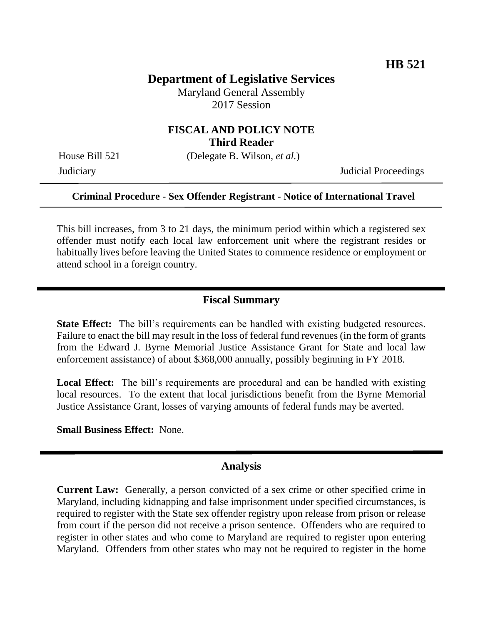# **Department of Legislative Services**

Maryland General Assembly 2017 Session

# **FISCAL AND POLICY NOTE Third Reader**

House Bill 521 (Delegate B. Wilson, *et al.*)

Judiciary Judicial Proceedings

#### **Criminal Procedure - Sex Offender Registrant - Notice of International Travel**

This bill increases, from 3 to 21 days, the minimum period within which a registered sex offender must notify each local law enforcement unit where the registrant resides or habitually lives before leaving the United States to commence residence or employment or attend school in a foreign country.

#### **Fiscal Summary**

**State Effect:** The bill's requirements can be handled with existing budgeted resources. Failure to enact the bill may result in the loss of federal fund revenues (in the form of grants from the Edward J. Byrne Memorial Justice Assistance Grant for State and local law enforcement assistance) of about \$368,000 annually, possibly beginning in FY 2018.

Local Effect: The bill's requirements are procedural and can be handled with existing local resources. To the extent that local jurisdictions benefit from the Byrne Memorial Justice Assistance Grant, losses of varying amounts of federal funds may be averted.

**Small Business Effect:** None.

#### **Analysis**

**Current Law:** Generally, a person convicted of a sex crime or other specified crime in Maryland, including kidnapping and false imprisonment under specified circumstances, is required to register with the State sex offender registry upon release from prison or release from court if the person did not receive a prison sentence. Offenders who are required to register in other states and who come to Maryland are required to register upon entering Maryland. Offenders from other states who may not be required to register in the home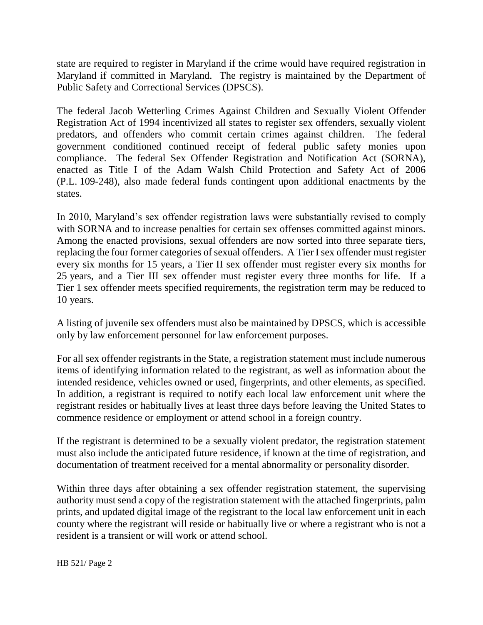state are required to register in Maryland if the crime would have required registration in Maryland if committed in Maryland. The registry is maintained by the Department of Public Safety and Correctional Services (DPSCS).

The federal Jacob Wetterling Crimes Against Children and Sexually Violent Offender Registration Act of 1994 incentivized all states to register sex offenders, sexually violent predators, and offenders who commit certain crimes against children. The federal government conditioned continued receipt of federal public safety monies upon compliance. The federal Sex Offender Registration and Notification Act (SORNA), enacted as Title I of the Adam Walsh Child Protection and Safety Act of 2006 (P.L. 109-248), also made federal funds contingent upon additional enactments by the states.

In 2010, Maryland's sex offender registration laws were substantially revised to comply with SORNA and to increase penalties for certain sex offenses committed against minors. Among the enacted provisions, sexual offenders are now sorted into three separate tiers, replacing the four former categories of sexual offenders. A Tier I sex offender must register every six months for 15 years, a Tier II sex offender must register every six months for 25 years, and a Tier III sex offender must register every three months for life. If a Tier 1 sex offender meets specified requirements, the registration term may be reduced to 10 years.

A listing of juvenile sex offenders must also be maintained by DPSCS, which is accessible only by law enforcement personnel for law enforcement purposes.

For all sex offender registrants in the State, a registration statement must include numerous items of identifying information related to the registrant, as well as information about the intended residence, vehicles owned or used, fingerprints, and other elements, as specified. In addition, a registrant is required to notify each local law enforcement unit where the registrant resides or habitually lives at least three days before leaving the United States to commence residence or employment or attend school in a foreign country.

If the registrant is determined to be a sexually violent predator, the registration statement must also include the anticipated future residence, if known at the time of registration, and documentation of treatment received for a mental abnormality or personality disorder.

Within three days after obtaining a sex offender registration statement, the supervising authority must send a copy of the registration statement with the attached fingerprints, palm prints, and updated digital image of the registrant to the local law enforcement unit in each county where the registrant will reside or habitually live or where a registrant who is not a resident is a transient or will work or attend school.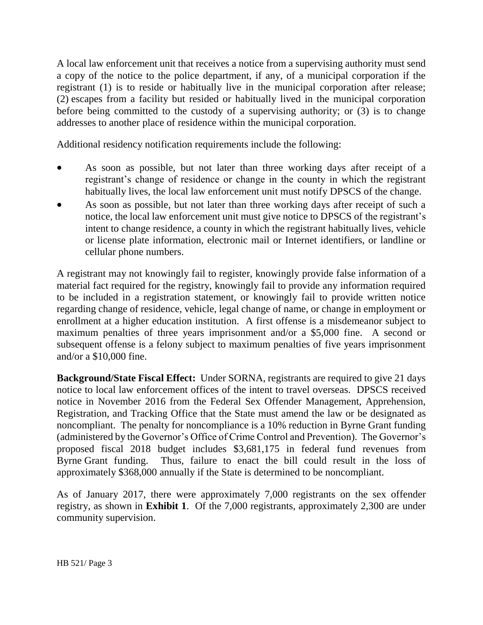A local law enforcement unit that receives a notice from a supervising authority must send a copy of the notice to the police department, if any, of a municipal corporation if the registrant (1) is to reside or habitually live in the municipal corporation after release; (2) escapes from a facility but resided or habitually lived in the municipal corporation before being committed to the custody of a supervising authority; or (3) is to change addresses to another place of residence within the municipal corporation.

Additional residency notification requirements include the following:

- As soon as possible, but not later than three working days after receipt of a registrant's change of residence or change in the county in which the registrant habitually lives, the local law enforcement unit must notify DPSCS of the change.
- As soon as possible, but not later than three working days after receipt of such a notice, the local law enforcement unit must give notice to DPSCS of the registrant's intent to change residence, a county in which the registrant habitually lives, vehicle or license plate information, electronic mail or Internet identifiers, or landline or cellular phone numbers.

A registrant may not knowingly fail to register, knowingly provide false information of a material fact required for the registry, knowingly fail to provide any information required to be included in a registration statement, or knowingly fail to provide written notice regarding change of residence, vehicle, legal change of name, or change in employment or enrollment at a higher education institution. A first offense is a misdemeanor subject to maximum penalties of three years imprisonment and/or a \$5,000 fine. A second or subsequent offense is a felony subject to maximum penalties of five years imprisonment and/or a \$10,000 fine.

**Background/State Fiscal Effect:** Under SORNA, registrants are required to give 21 days notice to local law enforcement offices of the intent to travel overseas. DPSCS received notice in November 2016 from the Federal Sex Offender Management, Apprehension, Registration, and Tracking Office that the State must amend the law or be designated as noncompliant. The penalty for noncompliance is a 10% reduction in Byrne Grant funding (administered by the Governor's Office of Crime Control and Prevention). The Governor's proposed fiscal 2018 budget includes \$3,681,175 in federal fund revenues from Byrne Grant funding. Thus, failure to enact the bill could result in the loss of approximately \$368,000 annually if the State is determined to be noncompliant.

As of January 2017, there were approximately 7,000 registrants on the sex offender registry, as shown in **Exhibit 1**. Of the 7,000 registrants, approximately 2,300 are under community supervision.